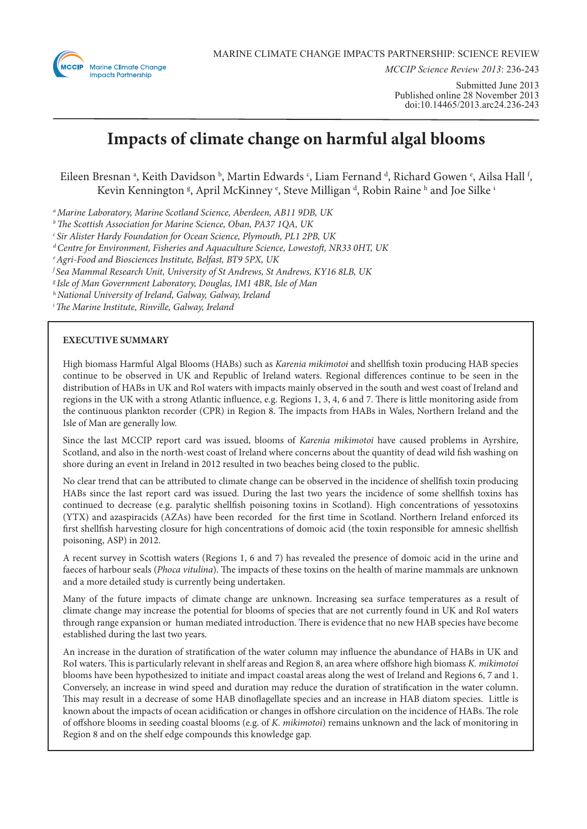

*MCCIP Science Review 2013*: 236-243

Submitted June 2013 Published online 28 November 2013 doi:10.14465/2013.arc24.236-243

# **Impacts of climate change on harmful algal blooms**

Eileen Bresnan <sup>a</sup>, Keith Davidson <sup>b</sup>, Martin Edwards  $\cdot$ , Liam Fernand  $\cdot$ , Richard Gowen  $\cdot$ , Ailsa Hall  $\cdot$ , Kevin Kennington §, April McKinney °, Steve Milligan <sup>d</sup>, Robin Raine <sup>h</sup> and Joe Silke <sup>i</sup>

*a Marine Laboratory, Marine Scotland Science, Aberdeen, AB11 9DB, UK*

*b The Scottish Association for Marine Science, Oban, PA37 1QA, UK*

*c Sir Alister Hardy Foundation for Ocean Science, Plymouth, PL1 2PB, UK*

*d Centre for Environment, Fisheries and Aquaculture Science, Lowestoft, NR33 0HT, UK*

*e Agri-Food and Biosciences Institute, Belfast, BT9 5PX, UK*

*f Sea Mammal Research Unit, University of St Andrews, St Andrews, KY16 8LB, UK*

*g Isle of Man Government Laboratory, Douglas, IM1 4BR, Isle of Man*

*h National University of Ireland, Galway, Galway, Ireland*

*i The Marine Institute, Rinville, Galway, Ireland*

# **EXECUTIVE SUMMARY**

High biomass Harmful Algal Blooms (HABs) such as *Karenia mikimotoi* and shellfish toxin producing HAB species continue to be observed in UK and Republic of Ireland waters. Regional differences continue to be seen in the distribution of HABs in UK and RoI waters with impacts mainly observed in the south and west coast of Ireland and regions in the UK with a strong Atlantic influence, e.g. Regions 1, 3, 4, 6 and 7. There is little monitoring aside from the continuous plankton recorder (CPR) in Region 8. The impacts from HABs in Wales, Northern Ireland and the Isle of Man are generally low.

Since the last MCCIP report card was issued, blooms of *Karenia mikimotoi* have caused problems in Ayrshire, Scotland, and also in the north-west coast of Ireland where concerns about the quantity of dead wild fish washing on shore during an event in Ireland in 2012 resulted in two beaches being closed to the public.

No clear trend that can be attributed to climate change can be observed in the incidence of shellfish toxin producing HABs since the last report card was issued. During the last two years the incidence of some shellfish toxins has continued to decrease (e.g. paralytic shellfish poisoning toxins in Scotland). High concentrations of yessotoxins (YTX) and azaspiracids (AZAs) have been recorded for the first time in Scotland. Northern Ireland enforced its first shellfish harvesting closure for high concentrations of domoic acid (the toxin responsible for amnesic shellfish poisoning, ASP) in 2012.

A recent survey in Scottish waters (Regions 1, 6 and 7) has revealed the presence of domoic acid in the urine and faeces of harbour seals (*Phoca vitulina*). The impacts of these toxins on the health of marine mammals are unknown and a more detailed study is currently being undertaken.

Many of the future impacts of climate change are unknown. Increasing sea surface temperatures as a result of climate change may increase the potential for blooms of species that are not currently found in UK and RoI waters through range expansion or human mediated introduction. There is evidence that no new HAB species have become established during the last two years.

An increase in the duration of stratification of the water column may influence the abundance of HABs in UK and RoI waters. This is particularly relevant in shelf areas and Region 8, an area where offshore high biomass *K. mikimotoi*  blooms have been hypothesized to initiate and impact coastal areas along the west of Ireland and Regions 6, 7 and 1. Conversely, an increase in wind speed and duration may reduce the duration of stratification in the water column. This may result in a decrease of some HAB dinoflagellate species and an increase in HAB diatom species. Little is known about the impacts of ocean acidification or changes in offshore circulation on the incidence of HABs. The role of offshore blooms in seeding coastal blooms (e.g. of *K. mikimotoi*) remains unknown and the lack of monitoring in Region 8 and on the shelf edge compounds this knowledge gap.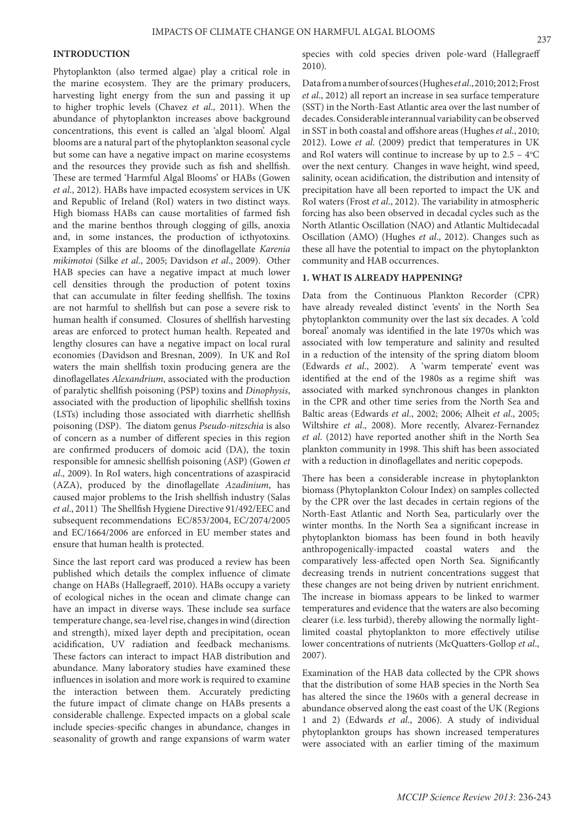### **INTRODUCTION**

Phytoplankton (also termed algae) play a critical role in the marine ecosystem. They are the primary producers, harvesting light energy from the sun and passing it up to higher trophic levels (Chavez *et al*., 2011). When the abundance of phytoplankton increases above background concentrations, this event is called an 'algal bloom'. Algal blooms are a natural part of the phytoplankton seasonal cycle but some can have a negative impact on marine ecosystems and the resources they provide such as fish and shellfish. These are termed 'Harmful Algal Blooms' or HABs (Gowen *et al*., 2012). HABs have impacted ecosystem services in UK and Republic of Ireland (RoI) waters in two distinct ways. High biomass HABs can cause mortalities of farmed fish and the marine benthos through clogging of gills, anoxia and, in some instances, the production of icthyotoxins. Examples of this are blooms of the dinoflagellate *Karenia mikimotoi* (Silke *et al*., 2005; Davidson *et al*., 2009). Other HAB species can have a negative impact at much lower cell densities through the production of potent toxins that can accumulate in filter feeding shellfish. The toxins are not harmful to shellfish but can pose a severe risk to human health if consumed. Closures of shellfish harvesting areas are enforced to protect human health. Repeated and lengthy closures can have a negative impact on local rural economies (Davidson and Bresnan, 2009). In UK and RoI waters the main shellfish toxin producing genera are the dinoflagellates *Alexandrium*, associated with the production of paralytic shellfish poisoning (PSP) toxins and *Dinophysis*, associated with the production of lipophilic shellfish toxins (LSTs) including those associated with diarrhetic shellfish poisoning (DSP). The diatom genus *Pseudo-nitzschia* is also of concern as a number of different species in this region are confirmed producers of domoic acid (DA), the toxin responsible for amnesic shellfish poisoning (ASP) (Gowen *et al*., 2009). In RoI waters, high concentrations of azaspiracid (AZA), produced by the dinoflagellate *Azadinium*, has caused major problems to the Irish shellfish industry (Salas *et al*., 2011) The Shellfish Hygiene Directive 91/492/EEC and subsequent recommendations EC/853/2004, EC/2074/2005 and EC/1664/2006 are enforced in EU member states and ensure that human health is protected.

Since the last report card was produced a review has been published which details the complex influence of climate change on HABs (Hallegraeff, 2010). HABs occupy a variety of ecological niches in the ocean and climate change can have an impact in diverse ways. These include sea surface temperature change, sea-level rise, changes in wind (direction and strength), mixed layer depth and precipitation, ocean acidification, UV radiation and feedback mechanisms. These factors can interact to impact HAB distribution and abundance. Many laboratory studies have examined these influences in isolation and more work is required to examine the interaction between them. Accurately predicting the future impact of climate change on HABs presents a considerable challenge. Expected impacts on a global scale include species-specific changes in abundance, changes in seasonality of growth and range expansions of warm water

species with cold species driven pole-ward (Hallegraeff 2010).

Data from a number of sources (Hughes *et al*., 2010; 2012; Frost *et al*., 2012) all report an increase in sea surface temperature (SST) in the North-East Atlantic area over the last number of decades. Considerable interannual variability can be observed in SST in both coastal and offshore areas (Hughes *et al*., 2010; 2012). Lowe *et al*. (2009) predict that temperatures in UK and RoI waters will continue to increase by up to  $2.5 - 4$ <sup>o</sup>C over the next century. Changes in wave height, wind speed, salinity, ocean acidification, the distribution and intensity of precipitation have all been reported to impact the UK and RoI waters (Frost *et al*., 2012). The variability in atmospheric forcing has also been observed in decadal cycles such as the North Atlantic Oscillation (NAO) and Atlantic Multidecadal Oscillation (AMO) (Hughes *et al*., 2012). Changes such as these all have the potential to impact on the phytoplankton community and HAB occurrences.

# **1. WHAT IS ALREADY HAPPENING?**

Data from the Continuous Plankton Recorder (CPR) have already revealed distinct 'events' in the North Sea phytoplankton community over the last six decades. A 'cold boreal' anomaly was identified in the late 1970s which was associated with low temperature and salinity and resulted in a reduction of the intensity of the spring diatom bloom (Edwards *et al*., 2002). A 'warm temperate' event was identified at the end of the 1980s as a regime shift was associated with marked synchronous changes in plankton in the CPR and other time series from the North Sea and Baltic areas (Edwards *et al*., 2002; 2006; Alheit *et al*., 2005; Wiltshire *et al*., 2008). More recently, Alvarez-Fernandez *et al*. (2012) have reported another shift in the North Sea plankton community in 1998. This shift has been associated with a reduction in dinoflagellates and neritic copepods.

There has been a considerable increase in phytoplankton biomass (Phytoplankton Colour Index) on samples collected by the CPR over the last decades in certain regions of the North-East Atlantic and North Sea, particularly over the winter months. In the North Sea a significant increase in phytoplankton biomass has been found in both heavily anthropogenically-impacted coastal waters and the comparatively less-affected open North Sea. Significantly decreasing trends in nutrient concentrations suggest that these changes are not being driven by nutrient enrichment. The increase in biomass appears to be linked to warmer temperatures and evidence that the waters are also becoming clearer (i.e. less turbid), thereby allowing the normally lightlimited coastal phytoplankton to more effectively utilise lower concentrations of nutrients (McQuatters-Gollop *et al*., 2007).

Examination of the HAB data collected by the CPR shows that the distribution of some HAB species in the North Sea has altered the since the 1960s with a general decrease in abundance observed along the east coast of the UK (Regions 1 and 2) (Edwards *et al*., 2006). A study of individual phytoplankton groups has shown increased temperatures were associated with an earlier timing of the maximum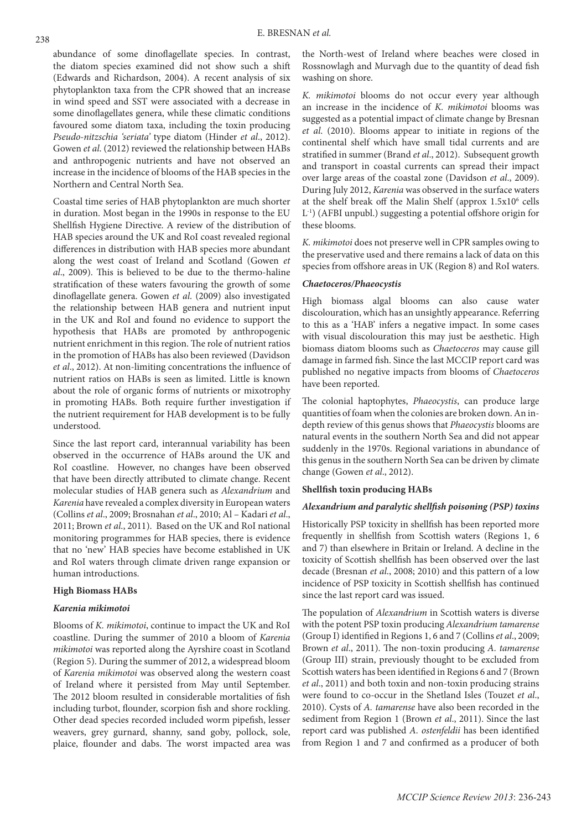abundance of some dinoflagellate species. In contrast, the diatom species examined did not show such a shift (Edwards and Richardson, 2004). A recent analysis of six phytoplankton taxa from the CPR showed that an increase in wind speed and SST were associated with a decrease in some dinoflagellates genera, while these climatic conditions favoured some diatom taxa, including the toxin producing *Pseudo-nitzschia 'seriata'* type diatom (Hinder *et al*., 2012). Gowen *et al*. (2012) reviewed the relationship between HABs and anthropogenic nutrients and have not observed an increase in the incidence of blooms of the HAB species in the Northern and Central North Sea.

Coastal time series of HAB phytoplankton are much shorter in duration. Most began in the 1990s in response to the EU Shellfish Hygiene Directive. A review of the distribution of HAB species around the UK and RoI coast revealed regional differences in distribution with HAB species more abundant along the west coast of Ireland and Scotland (Gowen *et al*., 2009). This is believed to be due to the thermo-haline stratification of these waters favouring the growth of some dinoflagellate genera. Gowen *et al*. (2009) also investigated the relationship between HAB genera and nutrient input in the UK and RoI and found no evidence to support the hypothesis that HABs are promoted by anthropogenic nutrient enrichment in this region. The role of nutrient ratios in the promotion of HABs has also been reviewed (Davidson *et al*., 2012). At non-limiting concentrations the influence of nutrient ratios on HABs is seen as limited. Little is known about the role of organic forms of nutrients or mixotrophy in promoting HABs. Both require further investigation if the nutrient requirement for HAB development is to be fully understood.

Since the last report card, interannual variability has been observed in the occurrence of HABs around the UK and RoI coastline. However, no changes have been observed that have been directly attributed to climate change. Recent molecular studies of HAB genera such as *Alexandrium* and *Karenia* have revealed a complex diversity in European waters (Collins *et al*., 2009; Brosnahan *et al*., 2010; Al – Kadari *et al*., 2011; Brown *et al*., 2011). Based on the UK and RoI national monitoring programmes for HAB species, there is evidence that no 'new' HAB species have become established in UK and RoI waters through climate driven range expansion or human introductions.

# **High Biomass HABs**

# *Karenia mikimotoi*

Blooms of *K. mikimotoi*, continue to impact the UK and RoI coastline. During the summer of 2010 a bloom of *Karenia mikimotoi* was reported along the Ayrshire coast in Scotland (Region 5). During the summer of 2012, a widespread bloom of *Karenia mikimotoi* was observed along the western coast of Ireland where it persisted from May until September. The 2012 bloom resulted in considerable mortalities of fish including turbot, flounder, scorpion fish and shore rockling. Other dead species recorded included worm pipefish, lesser weavers, grey gurnard, shanny, sand goby, pollock, sole, plaice, flounder and dabs. The worst impacted area was

the North-west of Ireland where beaches were closed in Rossnowlagh and Murvagh due to the quantity of dead fish washing on shore.

*K. mikimotoi* blooms do not occur every year although an increase in the incidence of *K. mikimotoi* blooms was suggested as a potential impact of climate change by Bresnan *et al*. (2010). Blooms appear to initiate in regions of the continental shelf which have small tidal currents and are stratified in summer (Brand *et al*., 2012). Subsequent growth and transport in coastal currents can spread their impact over large areas of the coastal zone (Davidson *et al*., 2009). During July 2012, *Karenia* was observed in the surface waters at the shelf break off the Malin Shelf (approx 1.5x10<sup>6</sup> cells L-1) (AFBI unpubl.) suggesting a potential offshore origin for these blooms.

*K. mikimotoi* does not preserve well in CPR samples owing to the preservative used and there remains a lack of data on this species from offshore areas in UK (Region 8) and RoI waters.

## *Chaetoceros/Phaeocystis*

High biomass algal blooms can also cause water discolouration, which has an unsightly appearance. Referring to this as a 'HAB' infers a negative impact. In some cases with visual discolouration this may just be aesthetic. High biomass diatom blooms such as *Chaetoceros* may cause gill damage in farmed fish. Since the last MCCIP report card was published no negative impacts from blooms of *Chaetoceros*  have been reported.

The colonial haptophytes, *Phaeocystis*, can produce large quantities of foam when the colonies are broken down. An indepth review of this genus shows that *Phaeocystis* blooms are natural events in the southern North Sea and did not appear suddenly in the 1970s. Regional variations in abundance of this genus in the southern North Sea can be driven by climate change (Gowen *et al*., 2012).

# **Shellfish toxin producing HABs**

#### *Alexandrium and paralytic shellfish poisoning (PSP) toxins*

Historically PSP toxicity in shellfish has been reported more frequently in shellfish from Scottish waters (Regions 1, 6 and 7) than elsewhere in Britain or Ireland. A decline in the toxicity of Scottish shellfish has been observed over the last decade (Bresnan *et al*., 2008; 2010) and this pattern of a low incidence of PSP toxicity in Scottish shellfish has continued since the last report card was issued.

The population of *Alexandrium* in Scottish waters is diverse with the potent PSP toxin producing *Alexandrium tamarense*  (Group I) identified in Regions 1, 6 and 7 (Collins *et al*., 2009; Brown *et al*., 2011). The non-toxin producing *A. tamarense*  (Group III) strain, previously thought to be excluded from Scottish waters has been identified in Regions 6 and 7 (Brown *et al*., 2011) and both toxin and non-toxin producing strains were found to co-occur in the Shetland Isles (Touzet *et al*., 2010). Cysts of *A. tamarense* have also been recorded in the sediment from Region 1 (Brown *et al*., 2011). Since the last report card was published *A. ostenfeldii* has been identified from Region 1 and 7 and confirmed as a producer of both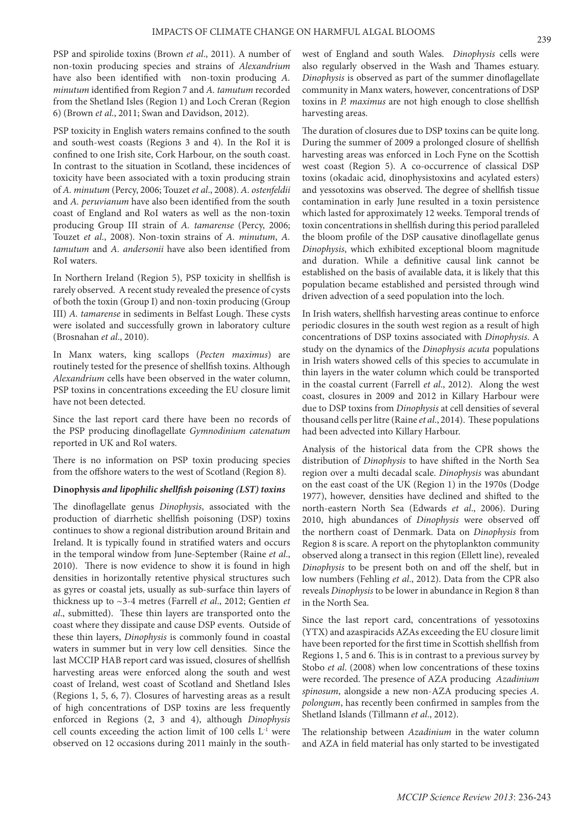PSP and spirolide toxins (Brown *et al*., 2011). A number of non-toxin producing species and strains of *Alexandrium*  have also been identified with non-toxin producing *A. minutum* identified from Region 7 and *A. tamutum* recorded from the Shetland Isles (Region 1) and Loch Creran (Region 6) (Brown *et al*., 2011; Swan and Davidson, 2012).

PSP toxicity in English waters remains confined to the south and south-west coasts (Regions 3 and 4). In the RoI it is confined to one Irish site, Cork Harbour, on the south coast. In contrast to the situation in Scotland, these incidences of toxicity have been associated with a toxin producing strain of *A. minutum* (Percy, 2006; Touzet *et al*., 2008). *A. ostenfeldii*  and *A. peruvianum* have also been identified from the south coast of England and RoI waters as well as the non-toxin producing Group III strain of *A. tamarense* (Percy, 2006; Touzet *et al*., 2008). Non-toxin strains of *A. minutum*, *A. tamutum* and *A. andersonii* have also been identified from RoI waters.

In Northern Ireland (Region 5), PSP toxicity in shellfish is rarely observed. A recent study revealed the presence of cysts of both the toxin (Group I) and non-toxin producing (Group III) *A. tamarense* in sediments in Belfast Lough. These cysts were isolated and successfully grown in laboratory culture (Brosnahan *et al*., 2010).

In Manx waters, king scallops (*Pecten maximus*) are routinely tested for the presence of shellfish toxins. Although *Alexandrium* cells have been observed in the water column, PSP toxins in concentrations exceeding the EU closure limit have not been detected.

Since the last report card there have been no records of the PSP producing dinoflagellate *Gymnodinium catenatum*  reported in UK and RoI waters.

There is no information on PSP toxin producing species from the offshore waters to the west of Scotland (Region 8).

# **Dinophysis** *and lipophilic shellfish poisoning (LST) toxins*

The dinoflagellate genus *Dinophysis*, associated with the production of diarrhetic shellfish poisoning (DSP) toxins continues to show a regional distribution around Britain and Ireland. It is typically found in stratified waters and occurs in the temporal window from June-September (Raine *et al*., 2010). There is now evidence to show it is found in high densities in horizontally retentive physical structures such as gyres or coastal jets, usually as sub-surface thin layers of thickness up to ~3-4 metres (Farrell *et al*., 2012; Gentien *et al*., submitted). These thin layers are transported onto the coast where they dissipate and cause DSP events. Outside of these thin layers, *Dinophysis* is commonly found in coastal waters in summer but in very low cell densities. Since the last MCCIP HAB report card was issued, closures of shellfish harvesting areas were enforced along the south and west coast of Ireland, west coast of Scotland and Shetland Isles (Regions 1, 5, 6, 7). Closures of harvesting areas as a result of high concentrations of DSP toxins are less frequently enforced in Regions (2, 3 and 4), although *Dinophysis* cell counts exceeding the action limit of 100 cells L-1 were observed on 12 occasions during 2011 mainly in the south-

west of England and south Wales. *Dinophysis* cells were also regularly observed in the Wash and Thames estuary. *Dinophysis* is observed as part of the summer dinoflagellate community in Manx waters, however, concentrations of DSP toxins in *P. maximus* are not high enough to close shellfish harvesting areas.

The duration of closures due to DSP toxins can be quite long. During the summer of 2009 a prolonged closure of shellfish harvesting areas was enforced in Loch Fyne on the Scottish west coast (Region 5). A co-occurrence of classical DSP toxins (okadaic acid, dinophysistoxins and acylated esters) and yessotoxins was observed. The degree of shellfish tissue contamination in early June resulted in a toxin persistence which lasted for approximately 12 weeks. Temporal trends of toxin concentrations in shellfish during this period paralleled the bloom profile of the DSP causative dinoflagellate genus *Dinophysis*, which exhibited exceptional bloom magnitude and duration. While a definitive causal link cannot be established on the basis of available data, it is likely that this population became established and persisted through wind driven advection of a seed population into the loch.

In Irish waters, shellfish harvesting areas continue to enforce periodic closures in the south west region as a result of high concentrations of DSP toxins associated with *Dinophysis*. A study on the dynamics of the *Dinophysis acuta* populations in Irish waters showed cells of this species to accumulate in thin layers in the water column which could be transported in the coastal current (Farrell *et al*., 2012). Along the west coast, closures in 2009 and 2012 in Killary Harbour were due to DSP toxins from *Dinophysis* at cell densities of several thousand cells per litre (Raine *et al*., 2014). These populations had been advected into Killary Harbour.

Analysis of the historical data from the CPR shows the distribution of *Dinophysis* to have shifted in the North Sea region over a multi decadal scale. *Dinophysis* was abundant on the east coast of the UK (Region 1) in the 1970s (Dodge 1977), however, densities have declined and shifted to the north-eastern North Sea (Edwards *et al*., 2006). During 2010, high abundances of *Dinophysis* were observed off the northern coast of Denmark. Data on *Dinophysis* from Region 8 is scare. A report on the phytoplankton community observed along a transect in this region (Ellett line), revealed *Dinophysis* to be present both on and off the shelf, but in low numbers (Fehling *et al*., 2012). Data from the CPR also reveals *Dinophysis* to be lower in abundance in Region 8 than in the North Sea.

Since the last report card, concentrations of yessotoxins (YTX) and azaspiracids AZAs exceeding the EU closure limit have been reported for the first time in Scottish shellfish from Regions 1, 5 and 6. This is in contrast to a previous survey by Stobo *et al*. (2008) when low concentrations of these toxins were recorded. The presence of AZA producing *Azadinium spinosum*, alongside a new non-AZA producing species *A. polongum*, has recently been confirmed in samples from the Shetland Islands (Tillmann *et al*., 2012).

The relationship between *Azadinium* in the water column and AZA in field material has only started to be investigated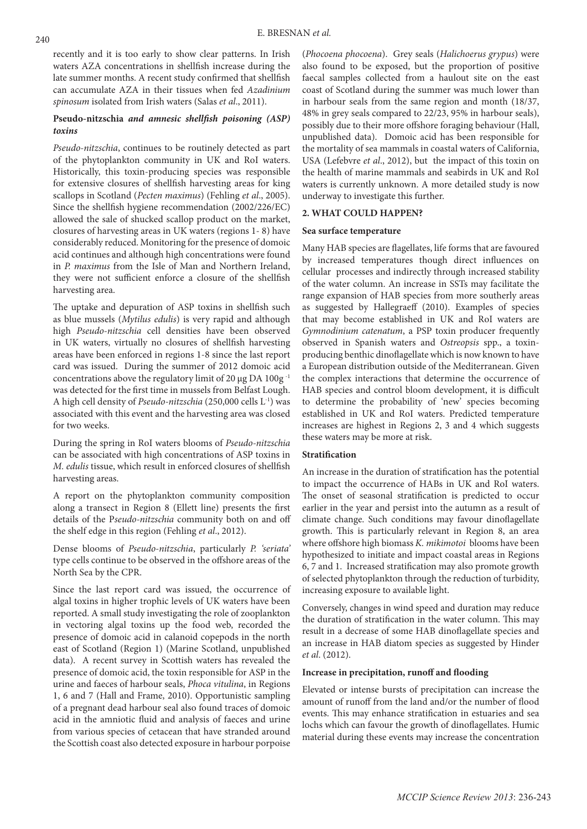recently and it is too early to show clear patterns. In Irish waters AZA concentrations in shellfish increase during the late summer months. A recent study confirmed that shellfish can accumulate AZA in their tissues when fed *Azadinium spinosum* isolated from Irish waters (Salas *et al*., 2011).

# **Pseudo-nitzschia** *and amnesic shellfish poisoning (ASP) toxins*

*Pseudo-nitzschia*, continues to be routinely detected as part of the phytoplankton community in UK and RoI waters. Historically, this toxin-producing species was responsible for extensive closures of shellfish harvesting areas for king scallops in Scotland (*Pecten maximus*) (Fehling *et al*., 2005). Since the shellfish hygiene recommendation (2002/226/EC) allowed the sale of shucked scallop product on the market, closures of harvesting areas in UK waters (regions 1- 8) have considerably reduced. Monitoring for the presence of domoic acid continues and although high concentrations were found in *P. maximus* from the Isle of Man and Northern Ireland, they were not sufficient enforce a closure of the shellfish harvesting area.

The uptake and depuration of ASP toxins in shellfish such as blue mussels (*Mytilus edulis*) is very rapid and although high *Pseudo-nitzschia* cell densities have been observed in UK waters, virtually no closures of shellfish harvesting areas have been enforced in regions 1-8 since the last report card was issued. During the summer of 2012 domoic acid concentrations above the regulatory limit of 20 µg DA 100g -1 was detected for the first time in mussels from Belfast Lough. A high cell density of *Pseudo-nitzschia* (250,000 cells L-1) was associated with this event and the harvesting area was closed for two weeks.

During the spring in RoI waters blooms of *Pseudo-nitzschia*  can be associated with high concentrations of ASP toxins in *M. edulis* tissue, which result in enforced closures of shellfish harvesting areas.

A report on the phytoplankton community composition along a transect in Region 8 (Ellett line) presents the first details of the P*seudo-nitzschia* community both on and off the shelf edge in this region (Fehling *et al*., 2012).

Dense blooms of *Pseudo-nitzschia*, particularly *P. 'seriata'*  type cells continue to be observed in the offshore areas of the North Sea by the CPR.

Since the last report card was issued, the occurrence of algal toxins in higher trophic levels of UK waters have been reported. A small study investigating the role of zooplankton in vectoring algal toxins up the food web, recorded the presence of domoic acid in calanoid copepods in the north east of Scotland (Region 1) (Marine Scotland, unpublished data). A recent survey in Scottish waters has revealed the presence of domoic acid, the toxin responsible for ASP in the urine and faeces of harbour seals, *Phoca vitulina*, in Regions 1, 6 and 7 (Hall and Frame, 2010). Opportunistic sampling of a pregnant dead harbour seal also found traces of domoic acid in the amniotic fluid and analysis of faeces and urine from various species of cetacean that have stranded around the Scottish coast also detected exposure in harbour porpoise

(*Phocoena phocoena*). Grey seals (*Halichoerus grypus*) were also found to be exposed, but the proportion of positive faecal samples collected from a haulout site on the east coast of Scotland during the summer was much lower than in harbour seals from the same region and month (18/37, 48% in grey seals compared to 22/23, 95% in harbour seals), possibly due to their more offshore foraging behaviour (Hall, unpublished data). Domoic acid has been responsible for the mortality of sea mammals in coastal waters of California, USA (Lefebvre *et al*., 2012), but the impact of this toxin on the health of marine mammals and seabirds in UK and RoI waters is currently unknown. A more detailed study is now underway to investigate this further.

# **2. WHAT COULD HAPPEN?**

# **Sea surface temperature**

Many HAB species are flagellates, life forms that are favoured by increased temperatures though direct influences on cellular processes and indirectly through increased stability of the water column. An increase in SSTs may facilitate the range expansion of HAB species from more southerly areas as suggested by Hallegraeff (2010). Examples of species that may become established in UK and RoI waters are *Gymnodinium catenatum*, a PSP toxin producer frequently observed in Spanish waters and *Ostreopsis* spp., a toxinproducing benthic dinoflagellate which is now known to have a European distribution outside of the Mediterranean. Given the complex interactions that determine the occurrence of HAB species and control bloom development, it is difficult to determine the probability of 'new' species becoming established in UK and RoI waters. Predicted temperature increases are highest in Regions 2, 3 and 4 which suggests these waters may be more at risk.

# **Stratification**

An increase in the duration of stratification has the potential to impact the occurrence of HABs in UK and RoI waters. The onset of seasonal stratification is predicted to occur earlier in the year and persist into the autumn as a result of climate change. Such conditions may favour dinoflagellate growth. This is particularly relevant in Region 8, an area where offshore high biomass *K. mikimotoi* blooms have been hypothesized to initiate and impact coastal areas in Regions 6, 7 and 1. Increased stratification may also promote growth of selected phytoplankton through the reduction of turbidity, increasing exposure to available light.

Conversely, changes in wind speed and duration may reduce the duration of stratification in the water column. This may result in a decrease of some HAB dinoflagellate species and an increase in HAB diatom species as suggested by Hinder *et al*. (2012).

# **Increase in precipitation, runoff and flooding**

Elevated or intense bursts of precipitation can increase the amount of runoff from the land and/or the number of flood events. This may enhance stratification in estuaries and sea lochs which can favour the growth of dinoflagellates. Humic material during these events may increase the concentration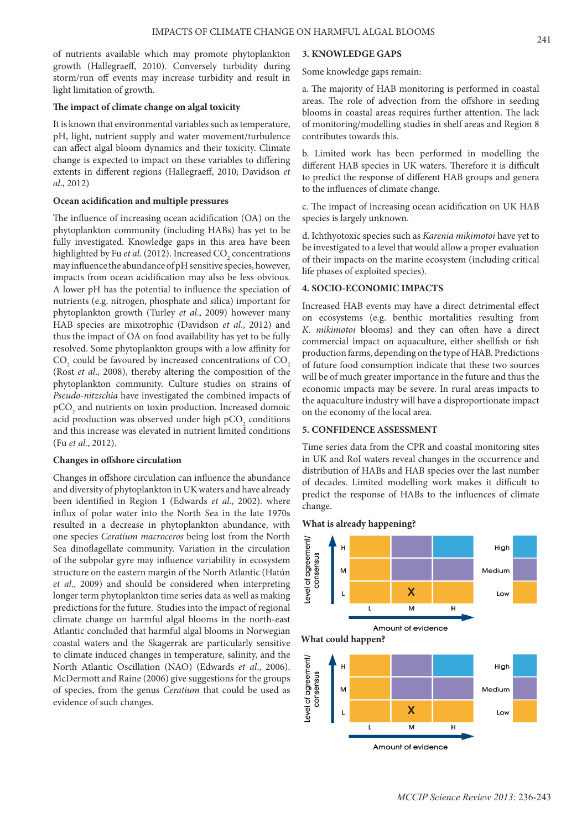of nutrients available which may promote phytoplankton growth (Hallegraeff, 2010). Conversely turbidity during storm/run off events may increase turbidity and result in light limitation of growth.

#### **The impact of climate change on algal toxicity**

It is known that environmental variables such as temperature, pH, light, nutrient supply and water movement/turbulence can affect algal bloom dynamics and their toxicity. Climate change is expected to impact on these variables to differing extents in different regions (Hallegraeff, 2010; Davidson *et al*., 2012)

# **Ocean acidification and multiple pressures**

The influence of increasing ocean acidification (OA) on the phytoplankton community (including HABs) has yet to be fully investigated. Knowledge gaps in this area have been highlighted by Fu *et al*. (2012). Increased CO<sub>2</sub> concentrations may influence the abundance of pH sensitive species, however, impacts from ocean acidification may also be less obvious. A lower pH has the potential to influence the speciation of nutrients (e.g. nitrogen, phosphate and silica) important for phytoplankton growth (Turley *et al*., 2009) however many HAB species are mixotrophic (Davidson *et al*., 2012) and thus the impact of OA on food availability has yet to be fully resolved. Some phytoplankton groups with a low affinity for  $\mathrm{CO}_2$  could be favoured by increased concentrations of  $\mathrm{CO}_2$ (Rost *et al*., 2008), thereby altering the composition of the phytoplankton community. Culture studies on strains of *Pseudo-nitzschia* have investigated the combined impacts of  $\tt pCO<sub>2</sub>$  and nutrients on toxin production. Increased domoic acid production was observed under high pCO<sub>2</sub> conditions and this increase was elevated in nutrient limited conditions (Fu *et al*., 2012).

#### **Changes in offshore circulation**

Changes in offshore circulation can influence the abundance and diversity of phytoplankton in UK waters and have already been identified in Region 1 (Edwards *et al*., 2002). where influx of polar water into the North Sea in the late 1970s resulted in a decrease in phytoplankton abundance, with one species *Ceratium macroceros* being lost from the North Sea dinoflagellate community. Variation in the circulation of the subpolar gyre may influence variability in ecosystem structure on the eastern margin of the North Atlantic (Hatún *et al*., 2009) and should be considered when interpreting longer term phytoplankton time series data as well as making predictions for the future. Studies into the impact of regional climate change on harmful algal blooms in the north-east Atlantic concluded that harmful algal blooms in Norwegian coastal waters and the Skagerrak are particularly sensitive to climate induced changes in temperature, salinity, and the North Atlantic Oscillation (NAO) (Edwards *et al*., 2006). McDermott and Raine (2006) give suggestions for the groups of species, from the genus *Ceratium* that could be used as evidence of such changes.

#### **3. KNOWLEDGE GAPS**

Some knowledge gaps remain:

a. The majority of HAB monitoring is performed in coastal areas. The role of advection from the offshore in seeding blooms in coastal areas requires further attention. The lack of monitoring/modelling studies in shelf areas and Region 8 contributes towards this.

b. Limited work has been performed in modelling the different HAB species in UK waters. Therefore it is difficult to predict the response of different HAB groups and genera to the influences of climate change.

c. The impact of increasing ocean acidification on UK HAB species is largely unknown.

d. Ichthyotoxic species such as *Karenia mikimotoi* have yet to be investigated to a level that would allow a proper evaluation of their impacts on the marine ecosystem (including critical life phases of exploited species).

# **4. SOCIO-ECONOMIC IMPACTS**

Increased HAB events may have a direct detrimental effect on ecosystems (e.g. benthic mortalities resulting from *K. mikimotoi* blooms) and they can often have a direct commercial impact on aquaculture, either shellfish or fish production farms, depending on the type of HAB. Predictions of future food consumption indicate that these two sources will be of much greater importance in the future and thus the economic impacts may be severe. In rural areas impacts to the aquaculture industry will have a disproportionate impact on the economy of the local area.

## **5. CONFIDENCE ASSESSMENT**

Time series data from the CPR and coastal monitoring sites in UK and RoI waters reveal changes in the occurrence and distribution of HABs and HAB species over the last number of decades. Limited modelling work makes it difficult to predict the response of HABs to the influences of climate change.

# **What is already happening?**

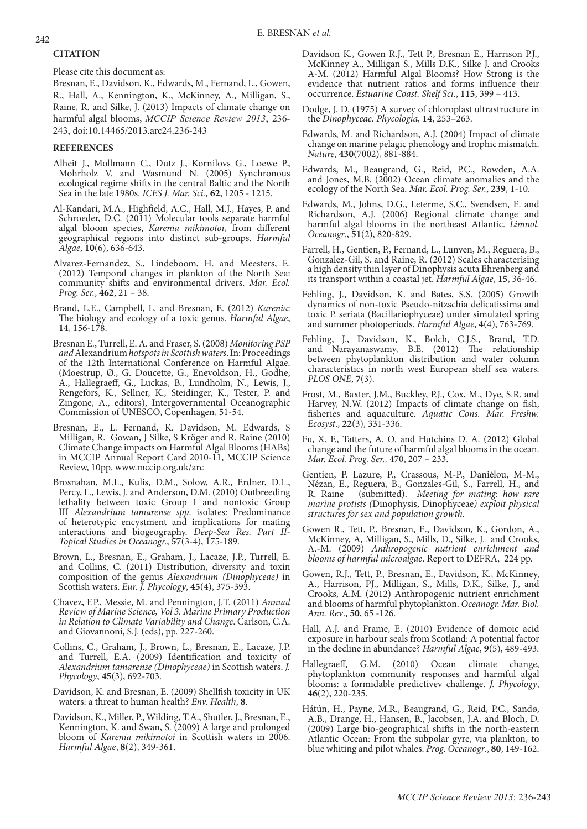# **CITATION**

Please cite this document as:

Bresnan, E., Davidson, K., Edwards, M., Fernand, L., Gowen, R., Hall, A., Kennington, K., McKinney, A., Milligan, S., Raine, R. and Silke, J. (2013) Impacts of climate change on harmful algal blooms, *MCCIP Science Review 2013*, 236- 243, doi:10.14465/2013.arc24.236-243

# **REFERENCES**

- Alheit J., Mollmann C., Dutz J., Kornilovs G., Loewe P., Mohrholz V. and Wasmund N. (2005) Synchronous ecological regime shifts in the central Baltic and the North Sea in the late 1980s. *ICES J. Mar. Sci.,* **62**, 1205 - 1215.
- Al-Kandari, M.A., Highfield, A.C., Hall, M.J., Hayes, P. and Schroeder, D.C. (2011) Molecular tools separate harmful algal bloom species, *Karenia mikimotoi*, from different geographical regions into distinct sub-groups. *Harmful Algae*, **10**(6), 636-643.
- Alvarez-Fernandez, S., Lindeboom, H. and Meesters, E. (2012) Temporal changes in plankton of the North Sea: community shifts and environmental drivers. *Mar. Ecol. Prog. Ser.*, **462**, 21 – 38.
- Brand, L.E., Campbell, L. and Bresnan, E. (2012) *Karenia*: The biology and ecology of a toxic genus. *Harmful Algae*, **14**, 156-178.
- Bresnan E., Turrell, E. A. and Fraser, S. (2008) *Monitoring PSP and* Alexandrium *hotspots in Scottish waters*. In: Proceedings of the 12th International Conference on Harmful Algae. (Moestrup, Ø., G. Doucette, G., Enevoldson, H., Godhe, A., Hallegraeff, G., Luckas, B., Lundholm, N., Lewis, J., Rengefors, K., Sellner, K., Steidinger, K., Tester, P. and Zingone, A., editors), Intergovernmental Oceanographic Commission of UNESCO, Copenhagen, 51-54.
- Bresnan, E., L. Fernand, K. Davidson, M. Edwards, S Milligan, R. Gowan, J Silke, S Kröger and R. Raine (2010) Climate Change impacts on Harmful Algal Blooms (HABs) in MCCIP Annual Report Card 2010-11, MCCIP Science Review, 10pp. www.mccip.org.uk/arc
- Brosnahan, M.L., Kulis, D.M., Solow, A.R., Erdner, D.L., Percy, L., Lewis, J. and Anderson, D.M. (2010) Outbreeding lethality between toxic Group I and nontoxic Group III *Alexandrium tamarense spp*. isolates: Predominance of heterotypic encystment and implications for mating interactions and biogeography. *Deep-Sea Res. Part II-Topical Studies in Oceanogr.*, **57**(3-4), 175-189.
- Brown, L., Bresnan, E., Graham, J., Lacaze, J.P., Turrell, E. and Collins, C. (2011) Distribution, diversity and toxin composition of the genus *Alexandrium (Dinophyceae)* in Scottish waters. *Eur. J. Phycology*, **45**(4), 375-393.
- Chavez, F.P., Messie, M. and Pennington, J.T. (2011) *Annual Review of Marine Science, Vol 3. Marine Primary Production*  in Relation to Climate Variability and Change. Carlson, C.A. and Giovannoni, S.J. (eds), pp. 227-260.
- Collins, C., Graham, J., Brown, L., Bresnan, E., Lacaze, J.P. and Turrell, E.A. (2009) Identification and toxicity of *Alexandrium tamarense (Dinophyceae)* in Scottish waters. *J. Phycology*, **45**(3), 692-703.
- Davidson, K. and Bresnan, E. (2009) Shellfish toxicity in UK waters: a threat to human health? *Env. Health*, **8**.
- Davidson, K., Miller, P., Wilding, T.A., Shutler, J., Bresnan, E., Kennington, K. and Swan, S. (2009) A large and prolonged bloom of *Karenia mikimotoi* in Scottish waters in 2006. *Harmful Algae*, **8**(2), 349-361.
- Davidson K., Gowen R.J., Tett P., Bresnan E., Harrison P.J., McKinney A., Milligan S., Mills D.K., Silke J. and Crooks A-M. (2012) Harmful Algal Blooms? How Strong is the evidence that nutrient ratios and forms influence their occurrence. *Estuarine Coast. Shelf Sci.*, **115**, 399 – 413.
- Dodge, J. D. (1975) A survey of chloroplast ultrastructure in the *Dinophyceae. Phycologia,* **14**, 253–263.
- Edwards, M. and Richardson, A.J. (2004) Impact of climate change on marine pelagic phenology and trophic mismatch. *Nature*, **430**(7002), 881-884.
- Edwards, M., Beaugrand, G., Reid, P.C., Rowden, A.A. and Jones, M.B. (2002) Ocean climate anomalies and the ecology of the North Sea. *Mar. Ecol. Prog. Ser.*, **239**, 1-10.
- Edwards, M., Johns, D.G., Leterme, S.C., Svendsen, E. and Richardson, A.J. (2006) Regional climate change and harmful algal blooms in the northeast Atlantic. *Limnol. Oceanogr*., **51**(2), 820-829.
- Farrell, H., Gentien, P., Fernand, L., Lunven, M., Reguera, B., Gonzalez-Gil, S. and Raine, R. (2012) Scales characterising a high density thin layer of Dinophysis acuta Ehrenberg and its transport within a coastal jet. *Harmful Algae*, **15**, 36-46.
- Fehling, J., Davidson, K. and Bates, S.S. (2005) Growth dynamics of non-toxic Pseudo-nitzschia delicatissima and toxic P. seriata (Bacillariophyceae) under simulated spring and summer photoperiods. *Harmful Algae*, **4**(4), 763-769.
- Fehling, J., Davidson, K., Bolch, C.J.S., Brand, T.D. and Narayanaswamy, B.E. (2012) The relationship between phytoplankton distribution and water column characteristics in north west European shelf sea waters. *PLOS ONE*, **7**(3).
- Frost, M., Baxter, J.M., Buckley, P.J., Cox, M., Dye, S.R. and Harvey, N.W. (2012) Impacts of climate change on fish, fisheries and aquaculture. *Aquatic Cons. Mar. Freshw. Ecosyst*., **22**(3), 331-336.
- Fu, X. F., Tatters, A. O. and Hutchins D. A. (2012) Global change and the future of harmful algal blooms in the ocean. *Mar. Ecol. Prog. Ser.,* 470, 207 – 233.
- Gentien, P. Lazure, P., Crassous, M-P., Daniélou, M-M., Nézan, E., Reguera, B., Gonzales-Gil, S., Farrell, H., and R. Raine (submitted). *Meeting for mating: how rare marine protists (*Dinophysis, Dinophyceae*) exploit physical structures for sex and population growth*.
- Gowen R., Tett, P., Bresnan, E., Davidson, K., Gordon, A., McKinney, A, Milligan, S., Mills, D., Silke, J. and Crooks, A.-M. (2009) *Anthropogenic nutrient enrichment and blooms of harmful microalgae*. Report to DEFRA, 224 pp.
- Gowen, R.J., Tett, P., Bresnan, E., Davidson, K., McKinney, A., Harrison, PJ., Milligan, S., Mills, D.K., Silke, J., and Crooks, A.M. (2012) Anthropogenic nutrient enrichment and blooms of harmful phytoplankton. *Oceanogr. Mar. Biol. Ann. Rev*., **50**, 65 -126.
- Hall, A.J. and Frame, E. (2010) Evidence of domoic acid exposure in harbour seals from Scotland: A potential factor in the decline in abundance? *Harmful Algae*, **9**(5), 489-493.
- Hallegraeff, G.M. (2010) Ocean climate change, phytoplankton community responses and harmful algal blooms: a formidable predictivev challenge. *J. Phycology*, **46**(2), 220-235.
- Hátún, H., Payne, M.R., Beaugrand, G., Reid, P.C., Sandø, A.B., Drange, H., Hansen, B., Jacobsen, J.A. and Bloch, D. (2009) Large bio-geographical shifts in the north-eastern Atlantic Ocean: From the subpolar gyre, via plankton, to blue whiting and pilot whales. *Prog. Oceanogr*., **80**, 149-162.